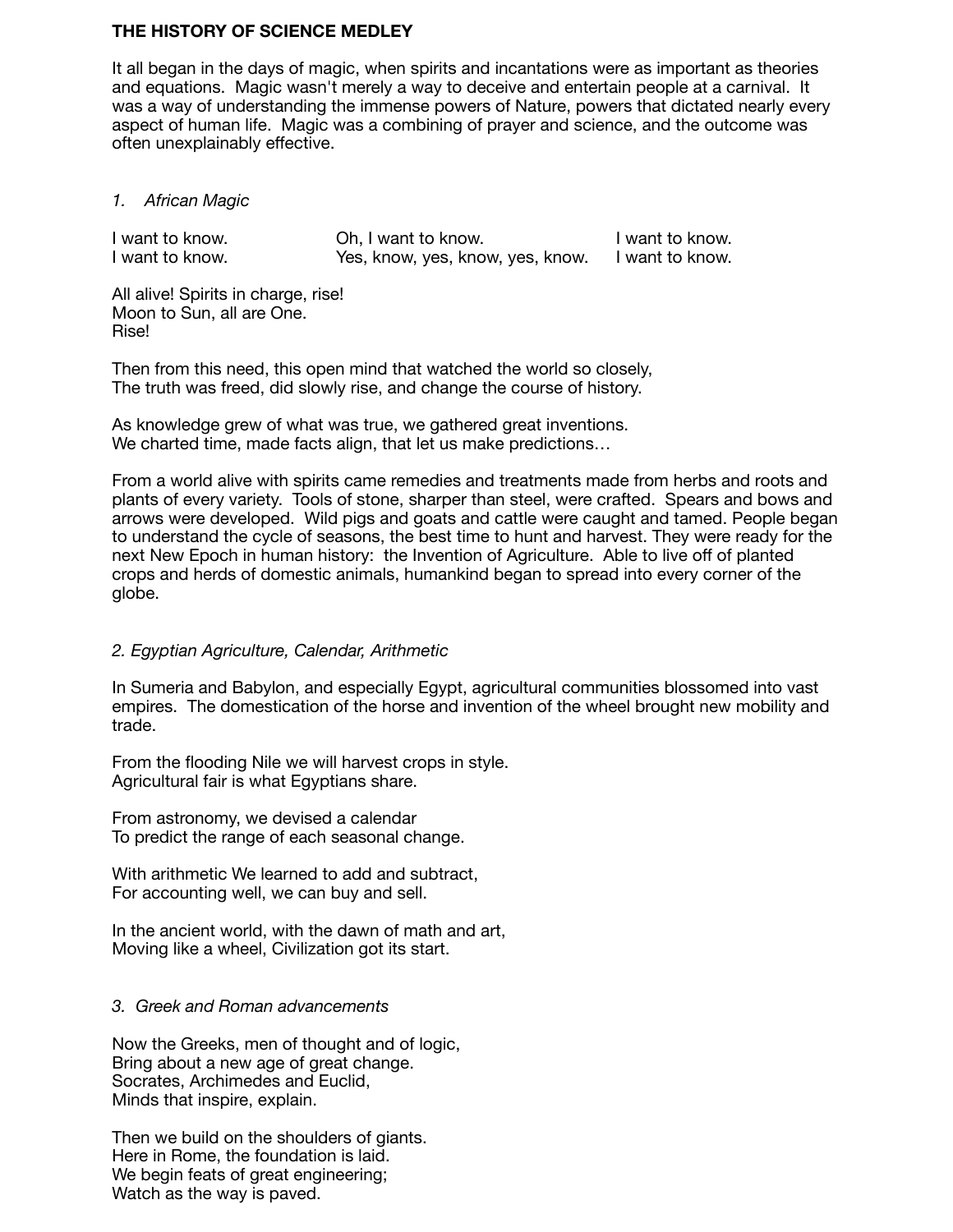### **THE HISTORY OF SCIENCE MEDLEY**

It all began in the days of magic, when spirits and incantations were as important as theories and equations. Magic wasn't merely a way to deceive and entertain people at a carnival. It was a way of understanding the immense powers of Nature, powers that dictated nearly every aspect of human life. Magic was a combining of prayer and science, and the outcome was often unexplainably effective.

*1. African Magic* 

I want to know. Ch, I want to know. I want to know.<br>I want to know. Yes, know, yes, know, yes, know. I want to know. Yes, know, yes, know, yes, know. I want to know.

All alive! Spirits in charge, rise! Moon to Sun, all are One. Rise!

Then from this need, this open mind that watched the world so closely, The truth was freed, did slowly rise, and change the course of history.

As knowledge grew of what was true, we gathered great inventions. We charted time, made facts align, that let us make predictions…

From a world alive with spirits came remedies and treatments made from herbs and roots and plants of every variety. Tools of stone, sharper than steel, were crafted. Spears and bows and arrows were developed. Wild pigs and goats and cattle were caught and tamed. People began to understand the cycle of seasons, the best time to hunt and harvest. They were ready for the next New Epoch in human history: the Invention of Agriculture. Able to live off of planted crops and herds of domestic animals, humankind began to spread into every corner of the globe.

# *2. Egyptian Agriculture, Calendar, Arithmetic*

In Sumeria and Babylon, and especially Egypt, agricultural communities blossomed into vast empires. The domestication of the horse and invention of the wheel brought new mobility and trade.

From the flooding Nile we will harvest crops in style. Agricultural fair is what Egyptians share.

From astronomy, we devised a calendar To predict the range of each seasonal change.

With arithmetic We learned to add and subtract, For accounting well, we can buy and sell.

In the ancient world, with the dawn of math and art, Moving like a wheel, Civilization got its start.

# *3. Greek and Roman advancements*

Now the Greeks, men of thought and of logic, Bring about a new age of great change. Socrates, Archimedes and Euclid, Minds that inspire, explain.

Then we build on the shoulders of giants. Here in Rome, the foundation is laid. We begin feats of great engineering; Watch as the way is paved.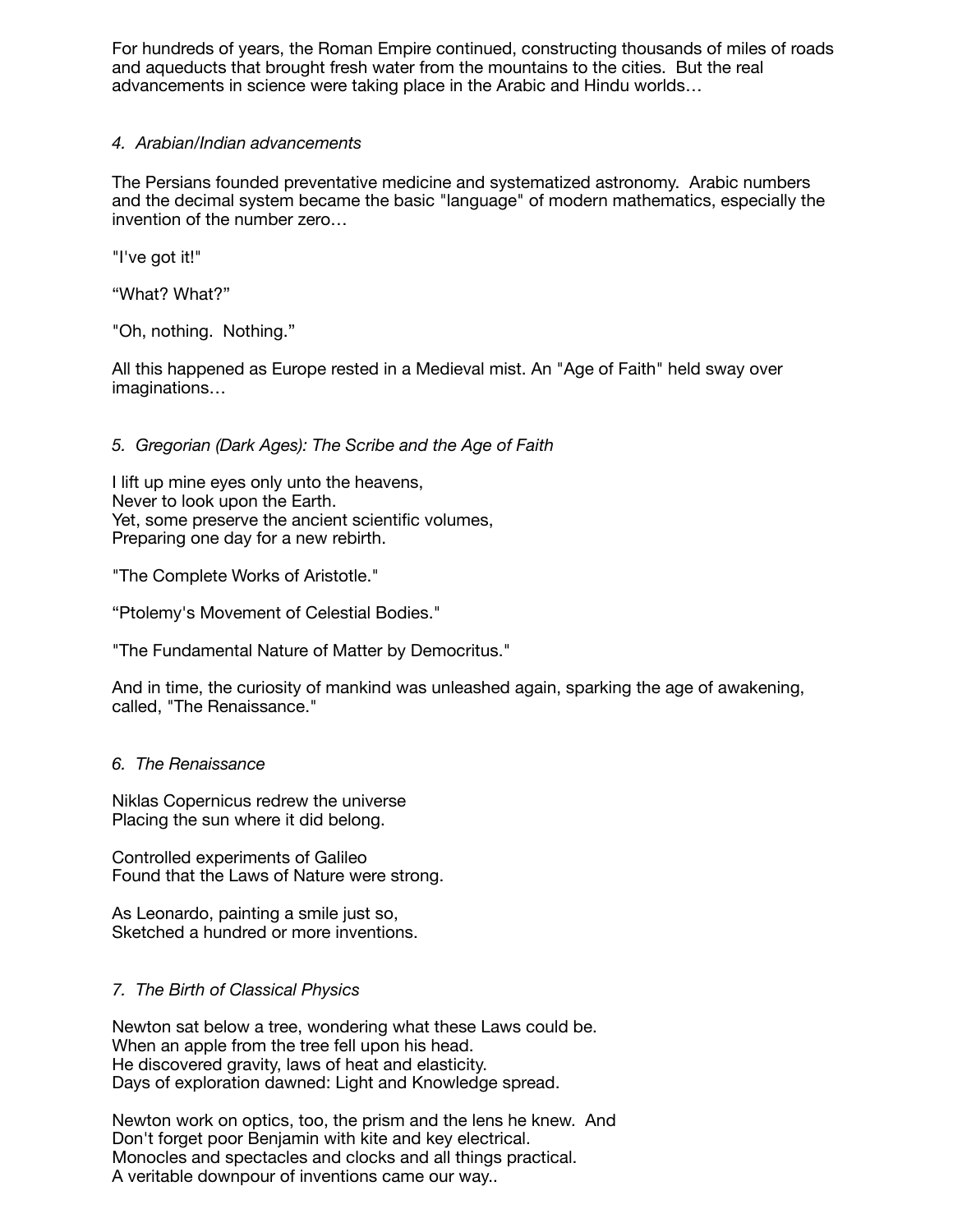For hundreds of years, the Roman Empire continued, constructing thousands of miles of roads and aqueducts that brought fresh water from the mountains to the cities. But the real advancements in science were taking place in the Arabic and Hindu worlds…

### *4. Arabian/Indian advancements*

The Persians founded preventative medicine and systematized astronomy. Arabic numbers and the decimal system became the basic "language" of modern mathematics, especially the invention of the number zero…

"I've got it!"

"What? What?"

"Oh, nothing. Nothing."

All this happened as Europe rested in a Medieval mist. An "Age of Faith" held sway over imaginations…

# *5. Gregorian (Dark Ages): The Scribe and the Age of Faith*

I lift up mine eyes only unto the heavens, Never to look upon the Earth. Yet, some preserve the ancient scientific volumes, Preparing one day for a new rebirth.

"The Complete Works of Aristotle."

"Ptolemy's Movement of Celestial Bodies."

"The Fundamental Nature of Matter by Democritus."

And in time, the curiosity of mankind was unleashed again, sparking the age of awakening, called, "The Renaissance."

### *6. The Renaissance*

Niklas Copernicus redrew the universe Placing the sun where it did belong.

Controlled experiments of Galileo Found that the Laws of Nature were strong.

As Leonardo, painting a smile just so, Sketched a hundred or more inventions.

### *7. The Birth of Classical Physics*

Newton sat below a tree, wondering what these Laws could be. When an apple from the tree fell upon his head. He discovered gravity, laws of heat and elasticity. Days of exploration dawned: Light and Knowledge spread.

Newton work on optics, too, the prism and the lens he knew. And Don't forget poor Benjamin with kite and key electrical. Monocles and spectacles and clocks and all things practical. A veritable downpour of inventions came our way..